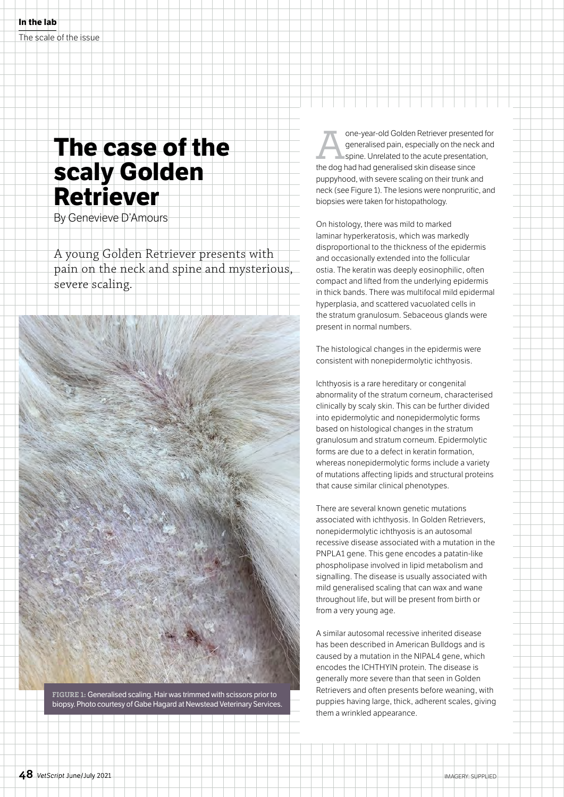## **The case of the scaly Golden Retriever**

By Genevieve D'Amours

A young Golden Retriever presents with pain on the neck and spine and mysterious, severe scaling.

**FIGURE 1:** Generalised scaling. Hair was trimmed with scissors prior to biopsy. Photo courtesy of Gabe Hagard at Newstead Veterinary Services. one-year-old Golden Retriever presented for<br>generalised pain, especially on the neck and<br>spine. Unrelated to the acute presentation,<br>the dog had had generalised skin disease since generalised pain, especially on the neck and spine. Unrelated to the acute presentation, the dog had had generalised skin disease since puppyhood, with severe scaling on their trunk and neck (see Figure 1). The lesions were nonpruritic, and biopsies were taken for histopathology.

On histology, there was mild to marked laminar hyperkeratosis, which was markedly disproportional to the thickness of the epidermis and occasionally extended into the follicular ostia. The keratin was deeply eosinophilic, often compact and lifted from the underlying epidermis in thick bands. There was multifocal mild epidermal hyperplasia, and scattered vacuolated cells in the stratum granulosum. Sebaceous glands were present in normal numbers.

The histological changes in the epidermis were consistent with nonepidermolytic ichthyosis.

Ichthyosis is a rare hereditary or congenital abnormality of the stratum corneum, characterised clinically by scaly skin. This can be further divided into epidermolytic and nonepidermolytic forms based on histological changes in the stratum granulosum and stratum corneum. Epidermolytic forms are due to a defect in keratin formation, whereas nonepidermolytic forms include a variety of mutations affecting lipids and structural proteins that cause similar clinical phenotypes.

There are several known genetic mutations associated with ichthyosis. In Golden Retrievers, nonepidermolytic ichthyosis is an autosomal recessive disease associated with a mutation in the PNPLA1 gene. This gene encodes a patatin-like phospholipase involved in lipid metabolism and signalling. The disease is usually associated with mild generalised scaling that can wax and wane throughout life, but will be present from birth or from a very young age.

A similar autosomal recessive inherited disease has been described in American Bulldogs and is caused by a mutation in the NIPAL4 gene, which encodes the ICHTHYIN protein. The disease is generally more severe than that seen in Golden Retrievers and often presents before weaning, with puppies having large, thick, adherent scales, giving them a wrinkled appearance.